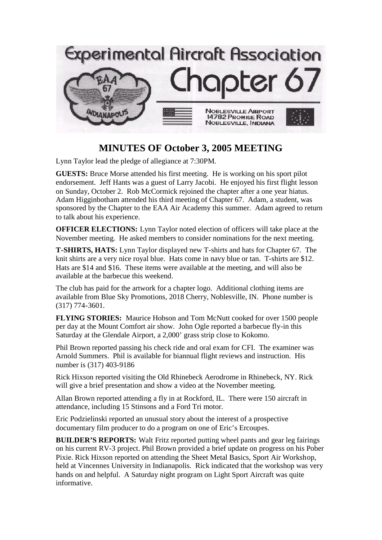

## **MINUTES OF October 3, 2005 MEETING**

Lynn Taylor lead the pledge of allegiance at 7:30PM.

**GUESTS:** Bruce Morse attended his first meeting. He is working on his sport pilot endorsement. Jeff Hants was a guest of Larry Jacobi. He enjoyed his first flight lesson on Sunday, October 2. Rob McCormick rejoined the chapter after a one year hiatus. Adam Higginbotham attended his third meeting of Chapter 67. Adam, a student, was sponsored by the Chapter to the EAA Air Academy this summer. Adam agreed to return to talk about his experience.

**OFFICER ELECTIONS:** Lynn Taylor noted election of officers will take place at the November meeting. He asked members to consider nominations for the next meeting.

**T-SHIRTS, HATS:** Lynn Taylor displayed new T-shirts and hats for Chapter 67. The knit shirts are a very nice royal blue. Hats come in navy blue or tan. T-shirts are \$12. Hats are \$14 and \$16. These items were available at the meeting, and will also be available at the barbecue this weekend.

The club has paid for the artwork for a chapter logo. Additional clothing items are available from Blue Sky Promotions, 2018 Cherry, Noblesville, IN. Phone number is (317) 774-3601.

**FLYING STORIES:** Maurice Hobson and Tom McNutt cooked for over 1500 people per day at the Mount Comfort air show. John Ogle reported a barbecue fly-in this Saturday at the Glendale Airport, a 2,000' grass strip close to Kokomo.

Phil Brown reported passing his check ride and oral exam for CFI. The examiner was Arnold Summers. Phil is available for biannual flight reviews and instruction. His number is (317) 403-9186

Rick Hixson reported visiting the Old Rhinebeck Aerodrome in Rhinebeck, NY. Rick will give a brief presentation and show a video at the November meeting.

Allan Brown reported attending a fly in at Rockford, IL. There were 150 aircraft in attendance, including 15 Stinsons and a Ford Tri motor.

Eric Podzielinski reported an unusual story about the interest of a prospective documentary film producer to do a program on one of Eric's Ercoupes.

**BUILDER'S REPORTS:** Walt Fritz reported putting wheel pants and gear leg fairings on his current RV-3 project. Phil Brown provided a brief update on progress on his Pober Pixie. Rick Hixson reported on attending the Sheet Metal Basics, Sport Air Workshop, held at Vincennes University in Indianapolis. Rick indicated that the workshop was very hands on and helpful. A Saturday night program on Light Sport Aircraft was quite informative.